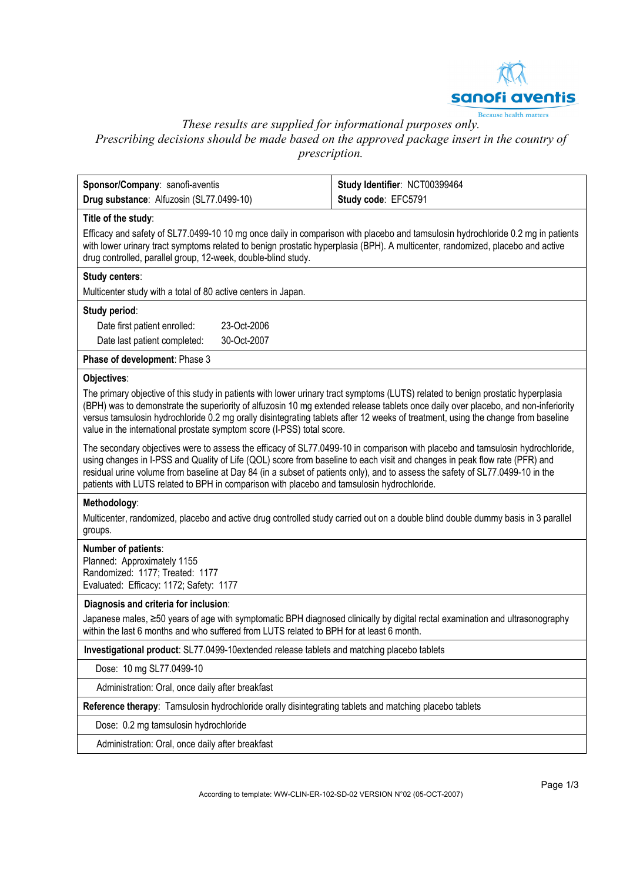

*These results are supplied for informational purposes only.* 

Prescribing decisions should be made based on the approved package insert in the country of *prescription.* 

| Sponsor/Company: sanofi-aventis                                                                                                                                                                                                                                                                                                                                                                                                                                                            | Study Identifier: NCT00399464 |
|--------------------------------------------------------------------------------------------------------------------------------------------------------------------------------------------------------------------------------------------------------------------------------------------------------------------------------------------------------------------------------------------------------------------------------------------------------------------------------------------|-------------------------------|
| Drug substance: Alfuzosin (SL77.0499-10)                                                                                                                                                                                                                                                                                                                                                                                                                                                   | Study code: EFC5791           |
| Title of the study:<br>Efficacy and safety of SL77.0499-10 10 mg once daily in comparison with placebo and tamsulosin hydrochloride 0.2 mg in patients<br>with lower urinary tract symptoms related to benign prostatic hyperplasia (BPH). A multicenter, randomized, placebo and active<br>drug controlled, parallel group, 12-week, double-blind study.                                                                                                                                  |                               |
| Study centers:                                                                                                                                                                                                                                                                                                                                                                                                                                                                             |                               |
| Multicenter study with a total of 80 active centers in Japan.                                                                                                                                                                                                                                                                                                                                                                                                                              |                               |
| Study period:                                                                                                                                                                                                                                                                                                                                                                                                                                                                              |                               |
| 23-Oct-2006<br>Date first patient enrolled:                                                                                                                                                                                                                                                                                                                                                                                                                                                |                               |
| 30-Oct-2007<br>Date last patient completed:                                                                                                                                                                                                                                                                                                                                                                                                                                                |                               |
| Phase of development: Phase 3                                                                                                                                                                                                                                                                                                                                                                                                                                                              |                               |
| Objectives:                                                                                                                                                                                                                                                                                                                                                                                                                                                                                |                               |
| The primary objective of this study in patients with lower urinary tract symptoms (LUTS) related to benign prostatic hyperplasia<br>(BPH) was to demonstrate the superiority of alfuzosin 10 mg extended release tablets once daily over placebo, and non-inferiority<br>versus tamsulosin hydrochloride 0.2 mg orally disintegrating tablets after 12 weeks of treatment, using the change from baseline<br>value in the international prostate symptom score (I-PSS) total score.        |                               |
| The secondary objectives were to assess the efficacy of SL77.0499-10 in comparison with placebo and tamsulosin hydrochloride,<br>using changes in I-PSS and Quality of Life (QOL) score from baseline to each visit and changes in peak flow rate (PFR) and<br>residual urine volume from baseline at Day 84 (in a subset of patients only), and to assess the safety of SL77.0499-10 in the<br>patients with LUTS related to BPH in comparison with placebo and tamsulosin hydrochloride. |                               |
| Methodology:                                                                                                                                                                                                                                                                                                                                                                                                                                                                               |                               |
| Multicenter, randomized, placebo and active drug controlled study carried out on a double blind double dummy basis in 3 parallel<br>groups.                                                                                                                                                                                                                                                                                                                                                |                               |
| Number of patients:<br>Planned: Approximately 1155<br>Randomized: 1177; Treated: 1177<br>Evaluated: Efficacy: 1172; Safety: 1177                                                                                                                                                                                                                                                                                                                                                           |                               |
| Diagnosis and criteria for inclusion:                                                                                                                                                                                                                                                                                                                                                                                                                                                      |                               |
| Japanese males, ≥50 years of age with symptomatic BPH diagnosed clinically by digital rectal examination and ultrasonography<br>within the last 6 months and who suffered from LUTS related to BPH for at least 6 month.                                                                                                                                                                                                                                                                   |                               |
| Investigational product: SL77.0499-10extended release tablets and matching placebo tablets                                                                                                                                                                                                                                                                                                                                                                                                 |                               |
| Dose: 10 mg SL77.0499-10                                                                                                                                                                                                                                                                                                                                                                                                                                                                   |                               |
| Administration: Oral, once daily after breakfast                                                                                                                                                                                                                                                                                                                                                                                                                                           |                               |
| Reference therapy: Tamsulosin hydrochloride orally disintegrating tablets and matching placebo tablets                                                                                                                                                                                                                                                                                                                                                                                     |                               |
| Dose: 0.2 mg tamsulosin hydrochloride                                                                                                                                                                                                                                                                                                                                                                                                                                                      |                               |
| Administration: Oral, once daily after breakfast                                                                                                                                                                                                                                                                                                                                                                                                                                           |                               |
|                                                                                                                                                                                                                                                                                                                                                                                                                                                                                            |                               |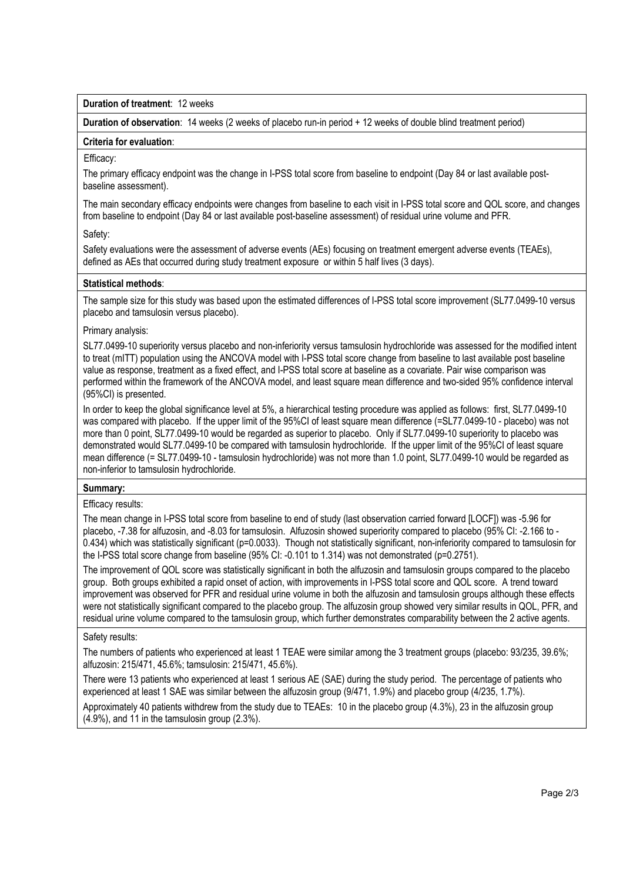**Duration of treatment**: 12 weeks

**Duration of observation**: 14 weeks (2 weeks of placebo run-in period + 12 weeks of double blind treatment period)

### **Criteria for evaluation**:

### Efficacy:

The primary efficacy endpoint was the change in I-PSS total score from baseline to endpoint (Day 84 or last available postbaseline assessment).

The main secondary efficacy endpoints were changes from baseline to each visit in I-PSS total score and QOL score, and changes from baseline to endpoint (Day 84 or last available post-baseline assessment) of residual urine volume and PFR.

# Safety:

Safety evaluations were the assessment of adverse events (AEs) focusing on treatment emergent adverse events (TEAEs), defined as AEs that occurred during study treatment exposure or within 5 half lives (3 days).

# **Statistical methods**:

The sample size for this study was based upon the estimated differences of I-PSS total score improvement (SL77.0499-10 versus placebo and tamsulosin versus placebo).

### Primary analysis:

SL77.0499-10 superiority versus placebo and non-inferiority versus tamsulosin hydrochloride was assessed for the modified intent to treat (mITT) population using the ANCOVA model with I-PSS total score change from baseline to last available post baseline value as response, treatment as a fixed effect, and I-PSS total score at baseline as a covariate. Pair wise comparison was performed within the framework of the ANCOVA model, and least square mean difference and two-sided 95% confidence interval (95%CI) is presented.

In order to keep the global significance level at 5%, a hierarchical testing procedure was applied as follows: first, SL77.0499-10 was compared with placebo. If the upper limit of the 95%CI of least square mean difference (=SL77.0499-10 - placebo) was not more than 0 point, SL77.0499-10 would be regarded as superior to placebo. Only if SL77.0499-10 superiority to placebo was demonstrated would SL77.0499-10 be compared with tamsulosin hydrochloride. If the upper limit of the 95%CI of least square mean difference (= SL77.0499-10 - tamsulosin hydrochloride) was not more than 1.0 point, SL77.0499-10 would be regarded as non-inferior to tamsulosin hydrochloride.

# **Summary:**

### Efficacy results:

The mean change in I-PSS total score from baseline to end of study (last observation carried forward [LOCF]) was -5.96 for placebo, -7.38 for alfuzosin, and -8.03 for tamsulosin. Alfuzosin showed superiority compared to placebo (95% CI: -2.166 to - 0.434) which was statistically significant (p=0.0033). Though not statistically significant, non-inferiority compared to tamsulosin for the I-PSS total score change from baseline (95% CI: -0.101 to 1.314) was not demonstrated (p=0.2751).

The improvement of QOL score was statistically significant in both the alfuzosin and tamsulosin groups compared to the placebo group. Both groups exhibited a rapid onset of action, with improvements in I-PSS total score and QOL score. A trend toward improvement was observed for PFR and residual urine volume in both the alfuzosin and tamsulosin groups although these effects were not statistically significant compared to the placebo group. The alfuzosin group showed very similar results in QOL, PFR, and residual urine volume compared to the tamsulosin group, which further demonstrates comparability between the 2 active agents.

#### Safety results:

The numbers of patients who experienced at least 1 TEAE were similar among the 3 treatment groups (placebo: 93/235, 39.6%; alfuzosin: 215/471, 45.6%; tamsulosin: 215/471, 45.6%).

There were 13 patients who experienced at least 1 serious AE (SAE) during the study period. The percentage of patients who experienced at least 1 SAE was similar between the alfuzosin group (9/471, 1.9%) and placebo group (4/235, 1.7%).

Approximately 40 patients withdrew from the study due to TEAEs: 10 in the placebo group (4.3%), 23 in the alfuzosin group (4.9%), and 11 in the tamsulosin group (2.3%).